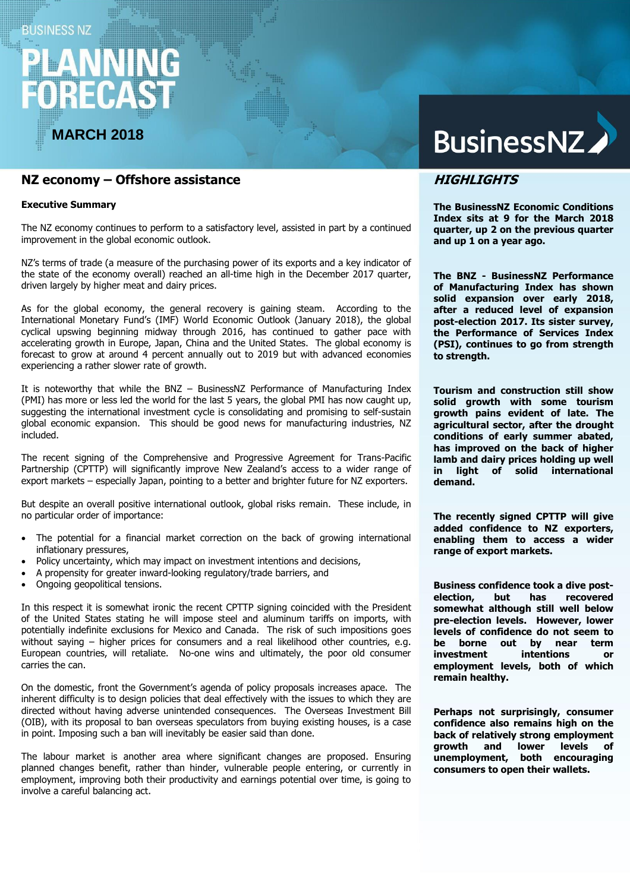### **BUSINESS NZ**

# **RECAS**

# **MARCH 2018**

# **NZ economy – Offshore assistance**

#### **Executive Summary**

The NZ economy continues to perform to a satisfactory level, assisted in part by a continued improvement in the global economic outlook.

NZ's terms of trade (a measure of the purchasing power of its exports and a key indicator of the state of the economy overall) reached an all-time high in the December 2017 quarter, driven largely by higher meat and dairy prices.

As for the global economy, the general recovery is gaining steam. According to the International Monetary Fund's (IMF) World Economic Outlook (January 2018), the global cyclical upswing beginning midway through 2016, has continued to gather pace with accelerating growth in Europe, Japan, China and the United States. The global economy is forecast to grow at around 4 percent annually out to 2019 but with advanced economies experiencing a rather slower rate of growth.

It is noteworthy that while the BNZ – BusinessNZ Performance of Manufacturing Index (PMI) has more or less led the world for the last 5 years, the global PMI has now caught up, suggesting the international investment cycle is consolidating and promising to self-sustain global economic expansion. This should be good news for manufacturing industries, NZ included.

The recent signing of the Comprehensive and Progressive Agreement for Trans-Pacific Partnership (CPTTP) will significantly improve New Zealand's access to a wider range of export markets – especially Japan, pointing to a better and brighter future for NZ exporters.

But despite an overall positive international outlook, global risks remain. These include, in no particular order of importance:

- The potential for a financial market correction on the back of growing international inflationary pressures,
- Policy uncertainty, which may impact on investment intentions and decisions,
- A propensity for greater inward-looking regulatory/trade barriers, and
- Ongoing geopolitical tensions.

In this respect it is somewhat ironic the recent CPTTP signing coincided with the President of the United States stating he will impose steel and aluminum tariffs on imports, with potentially indefinite exclusions for Mexico and Canada. The risk of such impositions goes without saying – higher prices for consumers and a real likelihood other countries, e.g. European countries, will retaliate. No-one wins and ultimately, the poor old consumer carries the can.

On the domestic, front the Government's agenda of policy proposals increases apace. The inherent difficulty is to design policies that deal effectively with the issues to which they are directed without having adverse unintended consequences. The Overseas Investment Bill (OIB), with its proposal to ban overseas speculators from buying existing houses, is a case in point. Imposing such a ban will inevitably be easier said than done.

The labour market is another area where significant changes are proposed. Ensuring planned changes benefit, rather than hinder, vulnerable people entering, or currently in employment, improving both their productivity and earnings potential over time, is going to involve a careful balancing act.

# **BusinessNZ**

## **HIGHLIGHTS**

**The BusinessNZ Economic Conditions Index sits at 9 for the March 2018 quarter, up 2 on the previous quarter and up 1 on a year ago.** 

**The BNZ - BusinessNZ Performance of Manufacturing Index has shown solid expansion over early 2018, after a reduced level of expansion post-election 2017. Its sister survey, the Performance of Services Index (PSI), continues to go from strength to strength.**

**Tourism and construction still show solid growth with some tourism growth pains evident of late. The agricultural sector, after the drought conditions of early summer abated, has improved on the back of higher lamb and dairy prices holding up well in light of solid international demand.**

**The recently signed CPTTP will give added confidence to NZ exporters, enabling them to access a wider range of export markets.**

**Business confidence took a dive postelection, but has recovered somewhat although still well below pre-election levels. However, lower levels of confidence do not seem to be borne out by near term investment intentions or employment levels, both of which remain healthy.**

**Perhaps not surprisingly, consumer confidence also remains high on the back of relatively strong employment growth and lower levels of unemployment, both encouraging consumers to open their wallets.**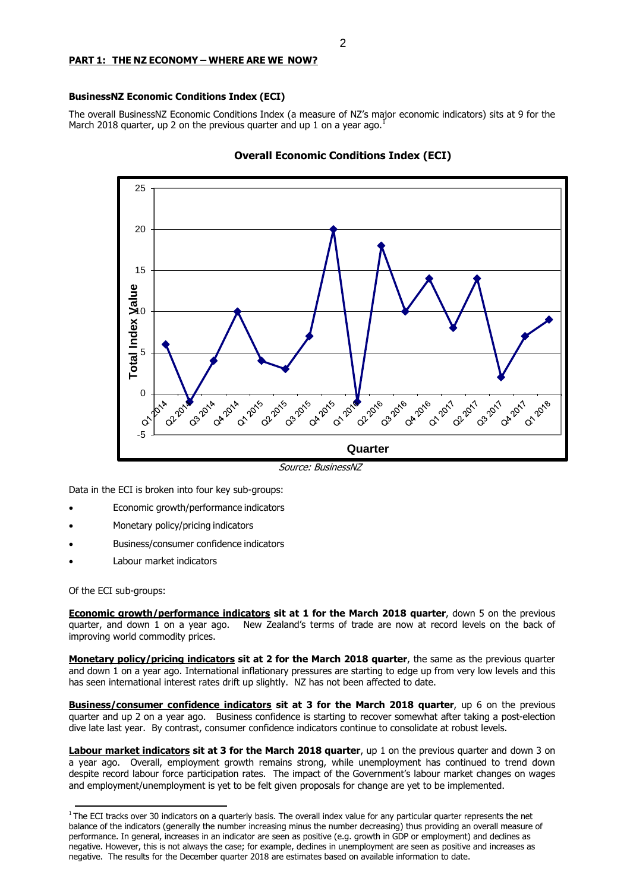#### **PART 1: THE NZ ECONOMY – WHERE ARE WE NOW?**

#### **BusinessNZ Economic Conditions Index (ECI)**

The overall BusinessNZ Economic Conditions Index (a measure of NZ's major economic indicators) sits at 9 for the March 2018 quarter, up 2 on the previous quarter and up 1 on a year ago.<sup>1</sup>





Source: BusinessNZ

Data in the ECI is broken into four key sub-groups:

- Economic growth/performance indicators
- Monetary policy/pricing indicators
- Business/consumer confidence indicators
- Labour market indicators

Of the ECI sub-groups:

**Economic growth/performance indicators sit at 1 for the March 2018 quarter**, down 5 on the previous quarter, and down 1 on a year ago. New Zealand's terms of trade are now at record levels on the back of improving world commodity prices.

**Monetary policy/pricing indicators sit at 2 for the March 2018 quarter**, the same as the previous quarter and down 1 on a year ago. International inflationary pressures are starting to edge up from very low levels and this has seen international interest rates drift up slightly. NZ has not been affected to date.

**Business/consumer confidence indicators sit at 3 for the March 2018 quarter**, up 6 on the previous quarter and up 2 on a year ago. Business confidence is starting to recover somewhat after taking a post-election dive late last year. By contrast, consumer confidence indicators continue to consolidate at robust levels.

**Labour market indicators sit at 3 for the March 2018 quarter**, up 1 on the previous quarter and down 3 on a year ago. Overall, employment growth remains strong, while unemployment has continued to trend down despite record labour force participation rates. The impact of the Government's labour market changes on wages and employment/unemployment is yet to be felt given proposals for change are yet to be implemented.

 $1$ The ECI tracks over 30 indicators on a quarterly basis. The overall index value for any particular quarter represents the net balance of the indicators (generally the number increasing minus the number decreasing) thus providing an overall measure of performance. In general, increases in an indicator are seen as positive (e.g. growth in GDP or employment) and declines as negative. However, this is not always the case; for example, declines in unemployment are seen as positive and increases as negative. The results for the December quarter 2018 are estimates based on available information to date.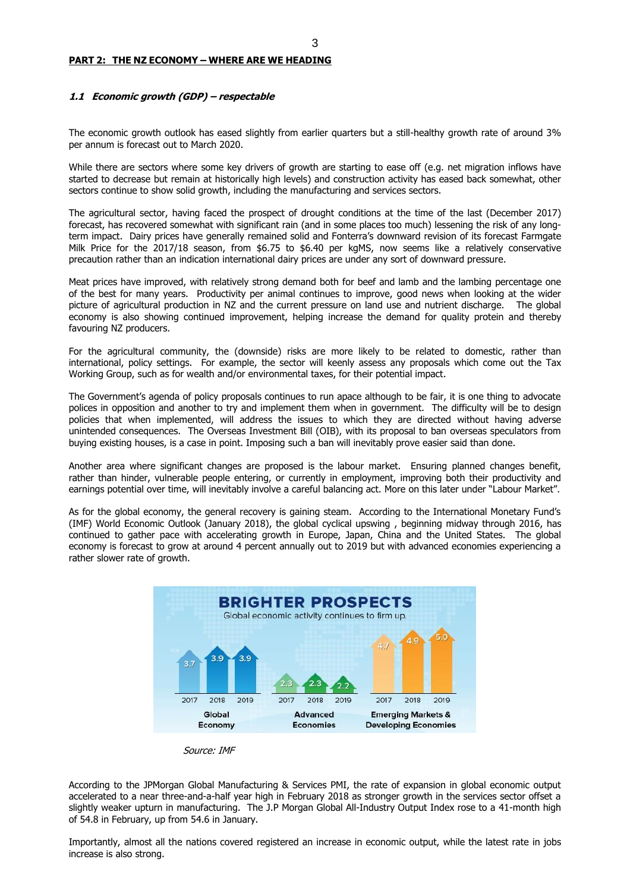#### **PART 2: THE NZ ECONOMY – WHERE ARE WE HEADING**

#### **1.1 Economic growth (GDP) – respectable**

The economic growth outlook has eased slightly from earlier quarters but a still-healthy growth rate of around 3% per annum is forecast out to March 2020.

While there are sectors where some key drivers of growth are starting to ease off (e.g. net migration inflows have started to decrease but remain at historically high levels) and construction activity has eased back somewhat, other sectors continue to show solid growth, including the manufacturing and services sectors.

The agricultural sector, having faced the prospect of drought conditions at the time of the last (December 2017) forecast, has recovered somewhat with significant rain (and in some places too much) lessening the risk of any longterm impact. Dairy prices have generally remained solid and Fonterra's downward revision of its forecast Farmgate Milk Price for the 2017/18 season, from \$6.75 to \$6.40 per kgMS, now seems like a relatively conservative precaution rather than an indication international dairy prices are under any sort of downward pressure.

Meat prices have improved, with relatively strong demand both for beef and lamb and the lambing percentage one of the best for many years. Productivity per animal continues to improve, good news when looking at the wider picture of agricultural production in NZ and the current pressure on land use and nutrient discharge. The global economy is also showing continued improvement, helping increase the demand for quality protein and thereby favouring NZ producers.

For the agricultural community, the (downside) risks are more likely to be related to domestic, rather than international, policy settings. For example, the sector will keenly assess any proposals which come out the Tax Working Group, such as for wealth and/or environmental taxes, for their potential impact.

The Government's agenda of policy proposals continues to run apace although to be fair, it is one thing to advocate polices in opposition and another to try and implement them when in government. The difficulty will be to design policies that when implemented, will address the issues to which they are directed without having adverse unintended consequences. The Overseas Investment Bill (OIB), with its proposal to ban overseas speculators from buying existing houses, is a case in point. Imposing such a ban will inevitably prove easier said than done.

Another area where significant changes are proposed is the labour market. Ensuring planned changes benefit, rather than hinder, vulnerable people entering, or currently in employment, improving both their productivity and earnings potential over time, will inevitably involve a careful balancing act. More on this later under "Labour Market".

As for the global economy, the general recovery is gaining steam. According to the International Monetary Fund's (IMF) World Economic Outlook (January 2018), the global cyclical upswing , beginning midway through 2016, has continued to gather pace with accelerating growth in Europe, Japan, China and the United States. The global economy is forecast to grow at around 4 percent annually out to 2019 but with advanced economies experiencing a rather slower rate of growth.





According to the JPMorgan Global Manufacturing & Services PMI, the rate of expansion in global economic output accelerated to a near three-and-a-half year high in February 2018 as stronger growth in the services sector offset a slightly weaker upturn in manufacturing. The J.P Morgan Global All-Industry Output Index rose to a 41-month high of 54.8 in February, up from 54.6 in January.

Importantly, almost all the nations covered registered an increase in economic output, while the latest rate in jobs increase is also strong.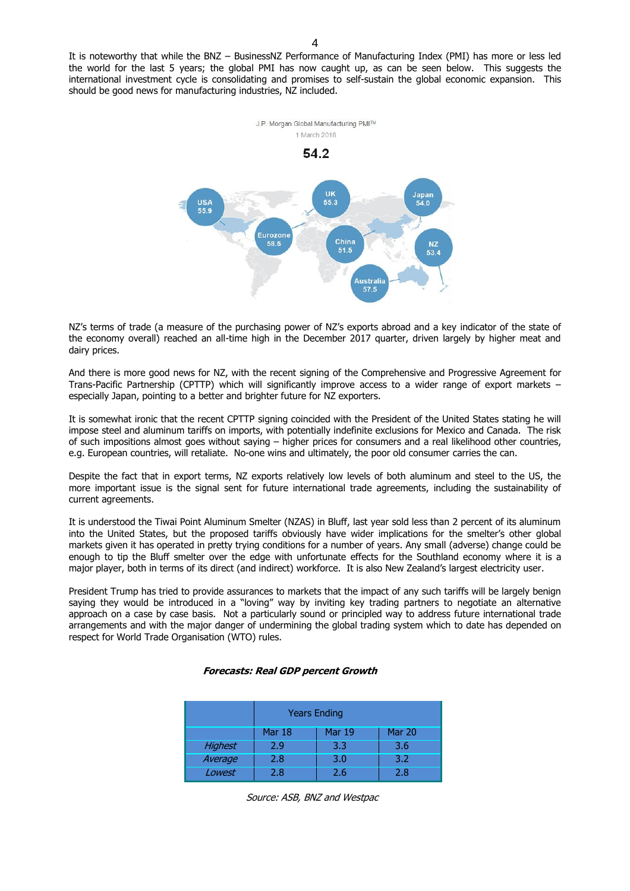It is noteworthy that while the BNZ – BusinessNZ Performance of Manufacturing Index (PMI) has more or less led the world for the last 5 years; the global PMI has now caught up, as can be seen below. This suggests the international investment cycle is consolidating and promises to self-sustain the global economic expansion. This should be good news for manufacturing industries, NZ included.



NZ's terms of trade (a measure of the purchasing power of NZ's exports abroad and a key indicator of the state of the economy overall) reached an all-time high in the December 2017 quarter, driven largely by higher meat and dairy prices.

And there is more good news for NZ, with the recent signing of the Comprehensive and Progressive Agreement for Trans-Pacific Partnership (CPTTP) which will significantly improve access to a wider range of export markets – especially Japan, pointing to a better and brighter future for NZ exporters.

It is somewhat ironic that the recent CPTTP signing coincided with the President of the United States stating he will impose steel and aluminum tariffs on imports, with potentially indefinite exclusions for Mexico and Canada. The risk of such impositions almost goes without saying – higher prices for consumers and a real likelihood other countries, e.g. European countries, will retaliate. No-one wins and ultimately, the poor old consumer carries the can.

Despite the fact that in export terms, NZ exports relatively low levels of both aluminum and steel to the US, the more important issue is the signal sent for future international trade agreements, including the sustainability of current agreements.

It is understood the Tiwai Point Aluminum Smelter (NZAS) in Bluff, last year sold less than 2 percent of its aluminum into the United States, but the proposed tariffs obviously have wider implications for the smelter's other global markets given it has operated in pretty trying conditions for a number of years. Any small (adverse) change could be enough to tip the Bluff smelter over the edge with unfortunate effects for the Southland economy where it is a major player, both in terms of its direct (and indirect) workforce. It is also New Zealand's largest electricity user.

President Trump has tried to provide assurances to markets that the impact of any such tariffs will be largely benign saying they would be introduced in a "loving" way by inviting key trading partners to negotiate an alternative approach on a case by case basis. Not a particularly sound or principled way to address future international trade arrangements and with the major danger of undermining the global trading system which to date has depended on respect for World Trade Organisation (WTO) rules.

|  | Forecasts: Real GDP percent Growth |
|--|------------------------------------|
|--|------------------------------------|

|                | <b>Years Ending</b>                             |     |     |  |  |
|----------------|-------------------------------------------------|-----|-----|--|--|
|                | <b>Mar 20</b><br><b>Mar 19</b><br><b>Mar 18</b> |     |     |  |  |
| <b>Highest</b> | 2.9                                             | 3.3 | 3.6 |  |  |
| Average        | 2.8                                             | 3.0 | 3.2 |  |  |
| Lowest         | 2.8                                             | 2.6 | 2.8 |  |  |

Source: ASB, BNZ and Westpac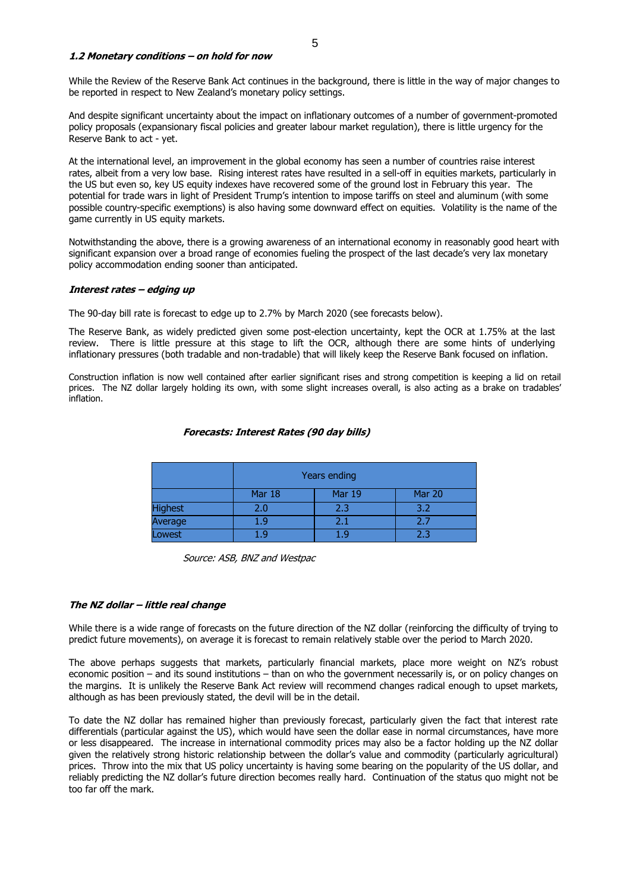#### **1.2 Monetary conditions – on hold for now**

While the Review of the Reserve Bank Act continues in the background, there is little in the way of major changes to be reported in respect to New Zealand's monetary policy settings.

And despite significant uncertainty about the impact on inflationary outcomes of a number of government-promoted policy proposals (expansionary fiscal policies and greater labour market regulation), there is little urgency for the Reserve Bank to act - yet.

At the international level, an improvement in the global economy has seen a number of countries raise interest rates, albeit from a very low base. Rising interest rates have resulted in a sell-off in equities markets, particularly in the US but even so, key US equity indexes have recovered some of the ground lost in February this year. The potential for trade wars in light of President Trump's intention to impose tariffs on steel and aluminum (with some possible country-specific exemptions) is also having some downward effect on equities. Volatility is the name of the game currently in US equity markets.

Notwithstanding the above, there is a growing awareness of an international economy in reasonably good heart with significant expansion over a broad range of economies fueling the prospect of the last decade's very lax monetary policy accommodation ending sooner than anticipated.

#### **Interest rates – edging up**

The 90-day bill rate is forecast to edge up to 2.7% by March 2020 (see forecasts below).

The Reserve Bank, as widely predicted given some post-election uncertainty, kept the OCR at 1.75% at the last review. There is little pressure at this stage to lift the OCR, although there are some hints of underlying inflationary pressures (both tradable and non-tradable) that will likely keep the Reserve Bank focused on inflation.

Construction inflation is now well contained after earlier significant rises and strong competition is keeping a lid on retail prices. The NZ dollar largely holding its own, with some slight increases overall, is also acting as a brake on tradables' inflation.

|                | Years ending                      |     |     |  |
|----------------|-----------------------------------|-----|-----|--|
|                | Mar 18<br>Mar 19<br><b>Mar 20</b> |     |     |  |
| <b>Highest</b> | 2.0                               | 2.3 | 3.2 |  |
| Average        | 1.9                               | 2.1 | 2.7 |  |
| Lowest         | 7 Q                               | 1.9 | 2.3 |  |

#### **Forecasts: Interest Rates (90 day bills)**

Source: ASB, BNZ and Westpac

#### **The NZ dollar – little real change**

While there is a wide range of forecasts on the future direction of the NZ dollar (reinforcing the difficulty of trying to predict future movements), on average it is forecast to remain relatively stable over the period to March 2020.

The above perhaps suggests that markets, particularly financial markets, place more weight on NZ's robust economic position – and its sound institutions – than on who the government necessarily is, or on policy changes on the margins. It is unlikely the Reserve Bank Act review will recommend changes radical enough to upset markets, although as has been previously stated, the devil will be in the detail.

To date the NZ dollar has remained higher than previously forecast, particularly given the fact that interest rate differentials (particular against the US), which would have seen the dollar ease in normal circumstances, have more or less disappeared. The increase in international commodity prices may also be a factor holding up the NZ dollar given the relatively strong historic relationship between the dollar's value and commodity (particularly agricultural) prices. Throw into the mix that US policy uncertainty is having some bearing on the popularity of the US dollar, and reliably predicting the NZ dollar's future direction becomes really hard. Continuation of the status quo might not be too far off the mark.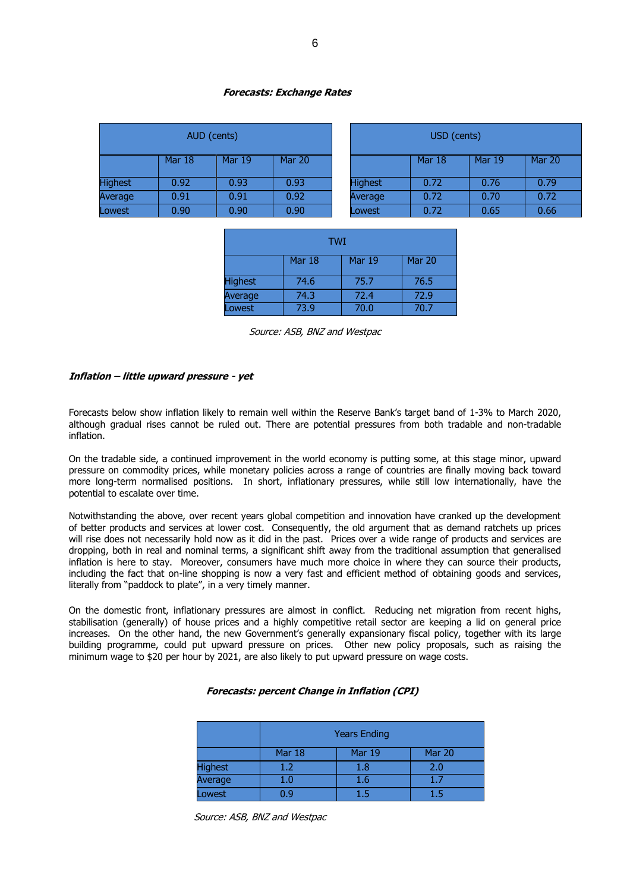#### **Forecasts: Exchange Rates**

|                | AUD (cents) |               |               |                | USD (cents) |               |        |
|----------------|-------------|---------------|---------------|----------------|-------------|---------------|--------|
|                | Mar 18      | <b>Mar 19</b> | <b>Mar 20</b> |                | Mar 18      | <b>Mar 19</b> | Mar 20 |
| <b>Highest</b> | 0.92        | 0.93          | 0.93          | <b>Highest</b> | 0.72        | 0.76          | 0.79   |
| Average        | 0.91        | 0.91          | 0.92          | Average        | 0.72        | 0.70          | 0.72   |
| Lowest         | 0.90        | 0.90          | 0.90          | Lowest         | 0.72        | 0.65          | 0.66   |

| USD (cents)                                     |      |      |      |  |  |
|-------------------------------------------------|------|------|------|--|--|
| <b>Mar 20</b><br><b>Mar 18</b><br><b>Mar 19</b> |      |      |      |  |  |
| <b>Highest</b>                                  | 0.72 | 0.76 | 0.79 |  |  |
| Average                                         | 0.72 | 0.70 | 0.72 |  |  |
| Lowest                                          | 0.72 | 0.65 | 0.66 |  |  |

| TWI                               |      |      |      |  |  |
|-----------------------------------|------|------|------|--|--|
| Mar 19<br><b>Mar 20</b><br>Mar 18 |      |      |      |  |  |
| <b>Highest</b>                    | 74.6 | 75.7 | 76.5 |  |  |
| Average                           | 74.3 | 72.4 | 72.9 |  |  |
| Lowest                            | 73.9 | 70.0 | 70.7 |  |  |

Source: ASB, BNZ and Westpac

#### **Inflation – little upward pressure - yet**

Forecasts below show inflation likely to remain well within the Reserve Bank's target band of 1-3% to March 2020, although gradual rises cannot be ruled out. There are potential pressures from both tradable and non-tradable inflation.

On the tradable side, a continued improvement in the world economy is putting some, at this stage minor, upward pressure on commodity prices, while monetary policies across a range of countries are finally moving back toward more long-term normalised positions. In short, inflationary pressures, while still low internationally, have the potential to escalate over time.

Notwithstanding the above, over recent years global competition and innovation have cranked up the development of better products and services at lower cost. Consequently, the old argument that as demand ratchets up prices will rise does not necessarily hold now as it did in the past. Prices over a wide range of products and services are dropping, both in real and nominal terms, a significant shift away from the traditional assumption that generalised inflation is here to stay. Moreover, consumers have much more choice in where they can source their products, including the fact that on-line shopping is now a very fast and efficient method of obtaining goods and services, literally from "paddock to plate", in a very timely manner.

On the domestic front, inflationary pressures are almost in conflict. Reducing net migration from recent highs, stabilisation (generally) of house prices and a highly competitive retail sector are keeping a lid on general price increases. On the other hand, the new Government's generally expansionary fiscal policy, together with its large building programme, could put upward pressure on prices. Other new policy proposals, such as raising the minimum wage to \$20 per hour by 2021, are also likely to put upward pressure on wage costs.

#### **Forecasts: percent Change in Inflation (CPI)**

|                | <b>Years Ending</b> |        |        |  |
|----------------|---------------------|--------|--------|--|
|                | Mar 18              | Mar 19 | Mar 20 |  |
| <b>Highest</b> | $1.2\,$             | 1.8    | 2.0    |  |
| Average        | $1.0\,$             | 1.6    | 1.7    |  |
| Lowest         | n q                 | 1.5    | 1.5    |  |

Source: ASB, BNZ and Westpac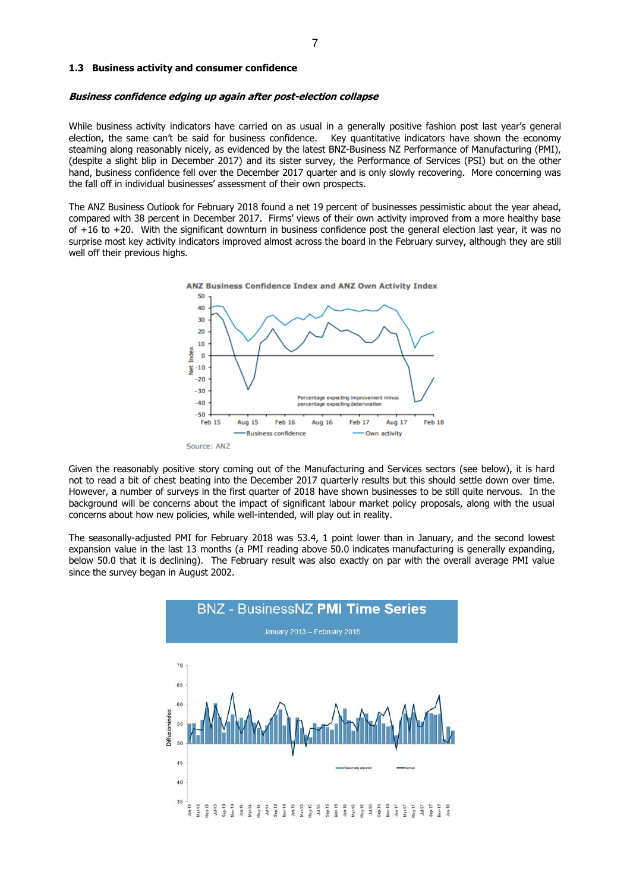#### **1.3 Business activity and consumer confidence**

#### **Business confidence edging up again after post-election collapse**

While business activity indicators have carried on as usual in a generally positive fashion post last year's general election, the same can't be said for business confidence. Key quantitative indicators have shown the economy steaming along reasonably nicely, as evidenced by the latest BNZ-Business NZ Performance of Manufacturing (PMI), (despite a slight blip in December 2017) and its sister survey, the Performance of Services (PSI) but on the other hand, business confidence fell over the December 2017 quarter and is only slowly recovering. More concerning was the fall off in individual businesses' assessment of their own prospects.

The ANZ Business Outlook for February 2018 found a net 19 percent of businesses pessimistic about the year ahead, compared with 38 percent in December 2017. Firms' views of their own activity improved from a more healthy base of +16 to +20. With the significant downturn in business confidence post the general election last year, it was no surprise most key activity indicators improved almost across the board in the February survey, although they are still well off their previous highs.



Given the reasonably positive story coming out of the Manufacturing and Services sectors (see below), it is hard not to read a bit of chest beating into the December 2017 quarterly results but this should settle down over time. However, a number of surveys in the first quarter of 2018 have shown businesses to be still quite nervous. In the background will be concerns about the impact of significant labour market policy proposals, along with the usual concerns about how new policies, while well-intended, will play out in reality.

The seasonally-adjusted PMI for February 2018 was 53.4, 1 point lower than in January, and the second lowest expansion value in the last 13 months (a PMI reading above 50.0 indicates manufacturing is generally expanding, below 50.0 that it is declining). The February result was also exactly on par with the overall average PMI value since the survey began in August 2002.

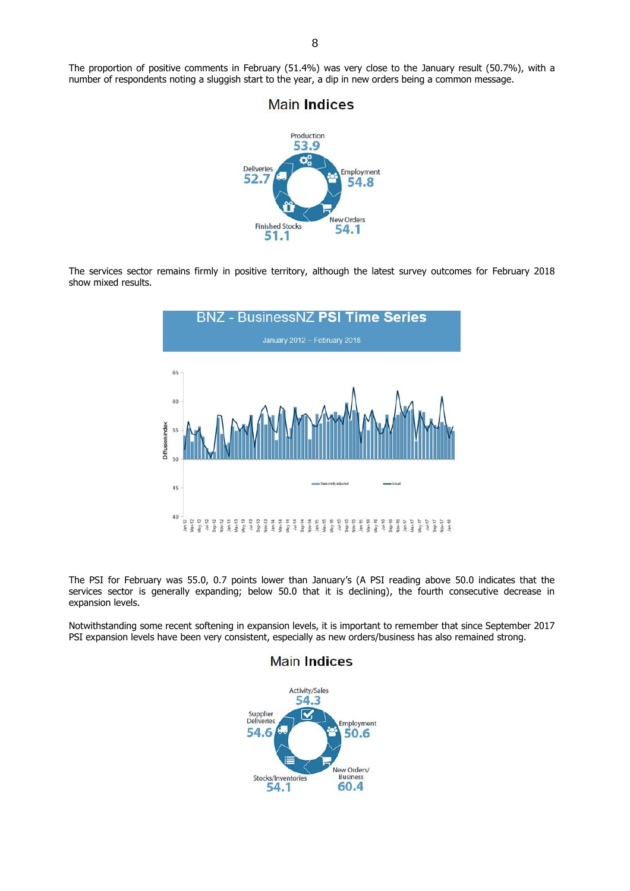The proportion of positive comments in February (51.4%) was very close to the January result (50.7%), with a number of respondents noting a sluggish start to the year, a dip in new orders being a common message.



The services sector remains firmly in positive territory, although the latest survey outcomes for February 2018 show mixed results.



The PSI for February was 55.0, 0.7 points lower than January's (A PSI reading above 50.0 indicates that the services sector is generally expanding; below 50.0 that it is declining), the fourth consecutive decrease in expansion levels.

Notwithstanding some recent softening in expansion levels, it is important to remember that since September 2017 PSI expansion levels have been very consistent, especially as new orders/business has also remained strong.

**Main Indices** 



# **Main Indices**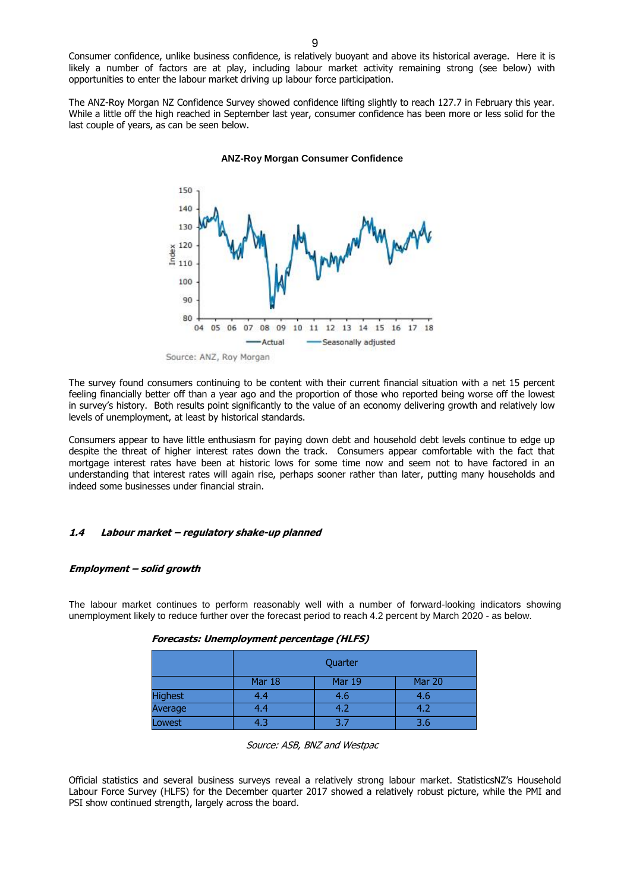Consumer confidence, unlike business confidence, is relatively buoyant and above its historical average. Here it is likely a number of factors are at play, including labour market activity remaining strong (see below) with opportunities to enter the labour market driving up labour force participation.

The ANZ-Roy Morgan NZ Confidence Survey showed confidence lifting slightly to reach 127.7 in February this year. While a little off the high reached in September last year, consumer confidence has been more or less solid for the last couple of years, as can be seen below.



#### **ANZ-Roy Morgan Consumer Confidence**

Source: ANZ, Roy Morgan

The survey found consumers continuing to be content with their current financial situation with a net 15 percent feeling financially better off than a year ago and the proportion of those who reported being worse off the lowest in survey's history. Both results point significantly to the value of an economy delivering growth and relatively low levels of unemployment, at least by historical standards.

Consumers appear to have little enthusiasm for paying down debt and household debt levels continue to edge up despite the threat of higher interest rates down the track. Consumers appear comfortable with the fact that mortgage interest rates have been at historic lows for some time now and seem not to have factored in an understanding that interest rates will again rise, perhaps sooner rather than later, putting many households and indeed some businesses under financial strain.

#### **1.4 Labour market – regulatory shake-up planned**

#### **Employment – solid growth**

The labour market continues to perform reasonably well with a number of forward-looking indicators showing unemployment likely to reduce further over the forecast period to reach 4.2 percent by March 2020 - as below.

|         | Quarter |        |        |
|---------|---------|--------|--------|
|         | Mar 18  | Mar 19 | Mar 20 |
| Highest | 4.4     | 4.6    | 4.6    |
| Average | 4.4     | 4.2    | 4.2    |
| Lowest  | 4.3     | 37     | 3.6    |

Source: ASB, BNZ and Westpac

Official statistics and several business surveys reveal a relatively strong labour market. StatisticsNZ's Household Labour Force Survey (HLFS) for the December quarter 2017 showed a relatively robust picture, while the PMI and PSI show continued strength, largely across the board.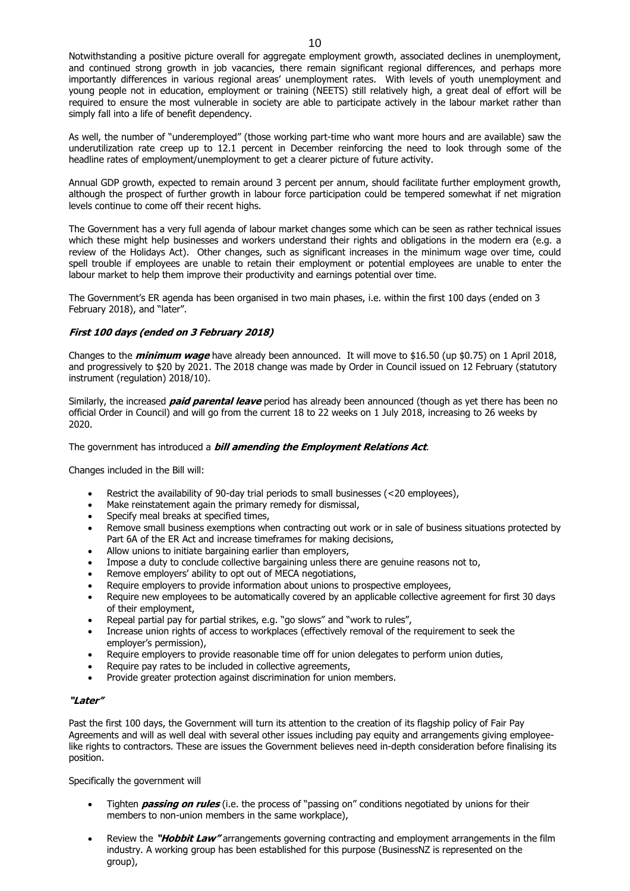Notwithstanding a positive picture overall for aggregate employment growth, associated declines in unemployment, and continued strong growth in job vacancies, there remain significant regional differences, and perhaps more importantly differences in various regional areas' unemployment rates. With levels of youth unemployment and young people not in education, employment or training (NEETS) still relatively high, a great deal of effort will be required to ensure the most vulnerable in society are able to participate actively in the labour market rather than simply fall into a life of benefit dependency.

As well, the number of "underemployed" (those working part-time who want more hours and are available) saw the underutilization rate creep up to 12.1 percent in December reinforcing the need to look through some of the headline rates of employment/unemployment to get a clearer picture of future activity.

Annual GDP growth, expected to remain around 3 percent per annum, should facilitate further employment growth, although the prospect of further growth in labour force participation could be tempered somewhat if net migration levels continue to come off their recent highs.

The Government has a very full agenda of labour market changes some which can be seen as rather technical issues which these might help businesses and workers understand their rights and obligations in the modern era (e.g. a review of the Holidays Act). Other changes, such as significant increases in the minimum wage over time, could spell trouble if employees are unable to retain their employment or potential employees are unable to enter the labour market to help them improve their productivity and earnings potential over time.

The Government's ER agenda has been organised in two main phases, i.e. within the first 100 days (ended on 3 February 2018), and "later".

#### **First 100 days (ended on 3 February 2018)**

Changes to the **minimum wage** have already been announced. It will move to \$16.50 (up \$0.75) on 1 April 2018, and progressively to \$20 by 2021. The 2018 change was made by Order in Council issued on 12 February (statutory instrument (regulation) 2018/10).

Similarly, the increased **paid parental leave** period has already been announced (though as yet there has been no official Order in Council) and will go from the current 18 to 22 weeks on 1 July 2018, increasing to 26 weeks by 2020.

#### The government has introduced a **bill amending the Employment Relations Act**.

Changes included in the Bill will:

- Restrict the availability of 90-day trial periods to small businesses (<20 employees),
- Make reinstatement again the primary remedy for dismissal,
- Specify meal breaks at specified times,
- Remove small business exemptions when contracting out work or in sale of business situations protected by Part 6A of the ER Act and increase timeframes for making decisions,
- Allow unions to initiate bargaining earlier than employers,
- Impose a duty to conclude collective bargaining unless there are genuine reasons not to,
- Remove employers' ability to opt out of MECA negotiations,
- Require employers to provide information about unions to prospective employees,
- Require new employees to be automatically covered by an applicable collective agreement for first 30 days of their employment,
- Repeal partial pay for partial strikes, e.g. "go slows" and "work to rules",
- Increase union rights of access to workplaces (effectively removal of the requirement to seek the employer's permission),
- Require employers to provide reasonable time off for union delegates to perform union duties,
- Require pay rates to be included in collective agreements,
- Provide greater protection against discrimination for union members.

#### **"Later"**

Past the first 100 days, the Government will turn its attention to the creation of its flagship policy of Fair Pay Agreements and will as well deal with several other issues including pay equity and arrangements giving employeelike rights to contractors. These are issues the Government believes need in-depth consideration before finalising its position.

Specifically the government will

- Tighten **passing on rules** (i.e. the process of "passing on" conditions negotiated by unions for their members to non-union members in the same workplace),
- Review the **"Hobbit Law"** arrangements governing contracting and employment arrangements in the film industry. A working group has been established for this purpose (BusinessNZ is represented on the group),